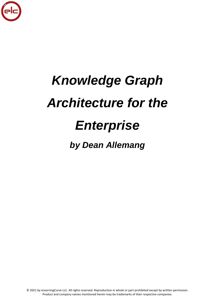

# *Knowledge Graph Architecture for the*

## *Enterprise*

### *by Dean Allemang*

© 2021 by eLearningCurve LLC. All rights reserved. Reproduction in whole or part prohibited except by written permission. Product and company names mentioned herein may be trademarks of their respective companies.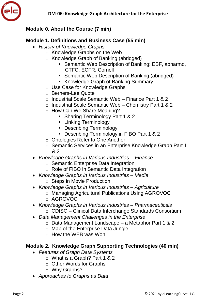

#### **Module 0. About the Course (7 min)**

#### **Module 1. Definitions and Business Case (55 min)**

- *History of Knowledge Graphs*
	- o Knowledge Graphs on the Web
	- o Knowledge Graph of Banking (abridged)
		- Semantic Web Description of Banking: EBF, abnarmo, CTFC, ECFR, Cornell
		- Semantic Web Description of Banking (abridged)
		- **Knowledge Graph of Banking Summary**
	- o Use Case for Knowledge Graphs
	- o Berners-Lee Quote
	- o Industrial Scale Semantic Web Finance Part 1 & 2
	- o Industrial Scale Semantic Web Chemistry Part 1 & 2
	- o How Can We Share Meaning?
		- **Sharing Terminology Part 1 & 2**
		- **Linking Terminology**
		- **Describing Terminology**
		- Describing Terminology in FIBO Part 1 & 2
	- o Ontologies Refer to One Another
	- o Semantic Services in an Enterprise Knowledge Graph Part 1 & 2
- *Knowledge Graphs in Various Industries Finance*
	- o Semantic Enterprise Data Integration
	- o Role of FIBO in Semantic Data Integration
- *Knowledge Graphs in Various Industries – Media*
	- o Steps in Movie Production
- *Knowledge Graphs in Various Industries – Agriculture*
	- o Managing Agricultural Publications Using AGROVOC
	- o AGROVOC
- *Knowledge Graphs in Various Industries – Pharmaceuticals*
	- o CDISC Clinical Data Interchange Standards Consortium
- *Data Management Challenges in the Enterprise*
	- o Data Management Landscape a Metaphor Part 1 & 2
	- o Map of the Enterprise Data Jungle
	- o How the WEB was Won

#### **Module 2. Knowledge Graph Supporting Technologies (40 min)**

- *Features of Graph Data Systems*
	- o What is a Graph? Part 1 & 2
	- o Other Words for Graphs
	- o Why Graphs?
- *Approaches to Graphs as Data*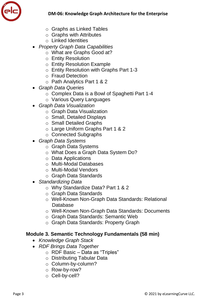

- o Graphs as Linked Tables
- o Graphs with Attributes
- o Linked Identities
- *Property Graph Data Capabilities*
	- o What are Graphs Good at?
	- o Entity Resolution
	- o Entity Resolution Example
	- o Entity Resolution with Graphs Part 1-3
	- o Fraud Detection
	- o Path Analytics Part 1 & 2
- *Graph Data Queries*
	- o Complex Data is a Bowl of Spaghetti Part 1-4
	- o Various Query Languages
- *Graph Data Visualization*
	- o Graph Data Visualization
	- o Small, Detailed Displays
	- o Small Detailed Graphs
	- o Large Uniform Graphs Part 1 & 2
	- o Connected Subgraphs
- *Graph Data Systems*
	- o Graph Data Systems
	- o What Does a Graph Data System Do?
	- o Data Applications
	- o Multi-Modal Databases
	- o Multi-Modal Vendors
	- o Graph Data Standards
- *Standardizing Data*
	- o Why Standardize Data? Part 1 & 2
	- o Graph Data Standards
	- o Well-Known Non-Graph Data Standards: Relational Database
	- o Well-Known Non-Graph Data Standards: Documents
	- o Graph Data Standards: Semantic Web
	- o Graph Data Standards: Property Graph

#### **Module 3. Semantic Technology Fundamentals (58 min)**

- *Knowledge Graph Stack*
- *RDF Brings Data Together*
	- o RDF Basic Data as "Triples"
	- o Distributing Tabular Data
	- o Column-by-column?
	- o Row-by-row?
	- o Cell-by-cell?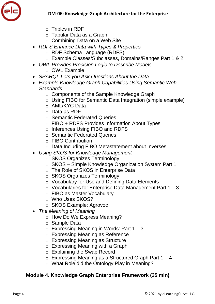

- o Triples in RDF
- o Tabular Data as a Graph
- o Combining Data on a Web Site
- *RDFS Enhance Data with Types & Properties*
	- o RDF Schema Language (RDFS)
	- o Example Classes/Subclasses, Domains/Ranges Part 1 & 2
- *OWL Provides Precision Logic to Describe Models* o OWL Example
- *SPARQL Lets you Ask Questions About the Data*
- *Example Knowledge Graph Capabilities Using Semantic Web Standards*
	- o Components of the Sample Knowledge Graph
	- o Using FIBO for Semantic Data Integration (simple example)
	- o AML/KYC Data
	- o Data as RDF
	- o Semantic Federated Queries
	- o FIBO + RDFS Provides Information About Types
	- o Inferences Using FIBO and RDFS
	- o Semantic Federated Queries
	- o FIBO Contribution
	- o Data Including FIBO Metastatement about Inverses
- *Using SKOS for Knowledge Management*
	- o SKOS Organizes Terminology
	- o SKOS Simple Knowledge Organization System Part 1
	- o The Role of SKOS in Enterprise Data
	- o SKOS Organizes Terminology
	- o Vocabulary for Use and Defining Data Elements
	- $\circ$  Vocabularies for Enterprise Data Management Part 1 3
	- o FIBO as Master Vocabulary
	- o Who Uses SKOS?
	- o SKOS Example: Agrovoc
- *The Meaning of Meaning*
	- o How Do We Express Meaning?
	- o Sample Data
	- $\circ$  Expressing Meaning in Words: Part 1 3
	- o Expressing Meaning as Reference
	- o Expressing Meaning as Structure
	- o Expressing Meaning with a Graph
	- o Explaining the Swap Record
	- $\circ$  Expressing Meaning as a Structured Graph Part 1 4
	- o What Role did the Ontology Play in Meaning?

#### **Module 4. Knowledge Graph Enterprise Framework (35 min)**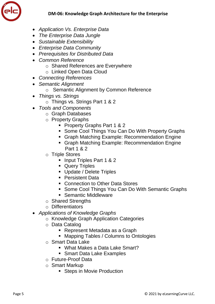

- *Application Vs. Enterprise Data*
- *The Enterprise Data Jungle*
- *Sustainable Extensibility*
- *Enterprise Data Community*
- *Prerequisites for Distributed Data*
- *Common Reference*
	- o Shared References are Everywhere
	- o Linked Open Data Cloud
- *Connecting References*
- *Semantic Alignment*
	- o Semantic Alignment by Common Reference
- *Things vs. Strings*
	- o Things vs. Strings Part 1 & 2
- *Tools and Components*
	- o Graph Databases
	- o Property Graphs
		- **Property Graphs Part 1 & 2**
		- **Some Cool Things You Can Do With Property Graphs**
		- Graph Matching Example: Recommendation Engine
		- Graph Matching Example: Recommendation Engine Part 1 & 2
	- o Triple Stores
		- **Input Triples Part 1 & 2**
		- **Query Triples**
		- Update / Delete Triples
		- **Persistent Data**
		- Connection to Other Data Stores
		- **Some Cool Things You Can Do With Semantic Graphs**
		- **Semantic Middleware**
	- o Shared Strengths
	- o Differentiators
- *Applications of Knowledge Graphs*
	- o Knowledge Graph Application Categories
	- o Data Catalog
		- Represent Metadata as a Graph
		- **Mapping Tables / Columns to Ontologies**
	- o Smart Data Lake
		- What Makes a Data Lake Smart?
		- **Smart Data Lake Examples**
	- o Future-Proof Data
	- o Smart Markup
		- **Steps in Movie Production**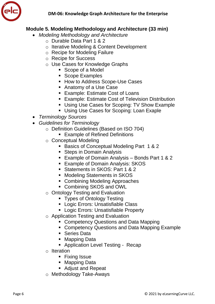

#### **Module 5. Modeling Methodology and Architecture (33 min)**

- *Modeling Methodology and Architecture*
	- o Durable Data Part 1 & 2
	- o Iterative Modeling & Content Development
	- o Recipe for Modeling Failure
	- o Recipe for Success
	- o Use Cases for Knowledge Graphs
		- Scope of a Model
		- **Scope Examples**
		- **How to Address Scope-Use Cases**
		- Anatomy of a Use Case
		- **Example: Estimate Cost of Loans**
		- **Example: Estimate Cost of Television Distribution**
		- Using Use Cases for Scoping: TV Show Example
		- **Using Use Cases for Scoping: Loan Exaple**
- *Terminology Sources*
- *Guidelines for Terminology*
	- o Definition Guidelines (Based on ISO 704)
		- **Example of Refined Definitions**
	- o Conceptual Modeling
		- **Basics of Conceptual Modeling Part 1 & 2**
		- Steps in Domain Analysis
		- Example of Domain Analysis Bonds Part 1 & 2
		- **Example of Domain Analysis: SKOS**
		- Statements in SKOS: Part 1 & 2
		- **Modeling Statements in SKOS**
		- Combining Modeling Approaches
		- Combining SKOS and OWL
	- o Ontology Testing and Evaluation
		- **Types of Ontology Testing**
		- **Logic Errors: Unsatisfiable Class**
		- **-** Logic Errors: Unsatisfiable Property
	- o Application Testing and Evaluation
		- Competency Questions and Data Mapping
		- **Competency Questions and Data Mapping Example**
		- **Series Data**
		- **Mapping Data**
		- Application Level Testing Recap
	- o Iteration
		- **Fixing Issue**
		- Mapping Data
		- Adjust and Repeat
	- o Methodology Take-Aways